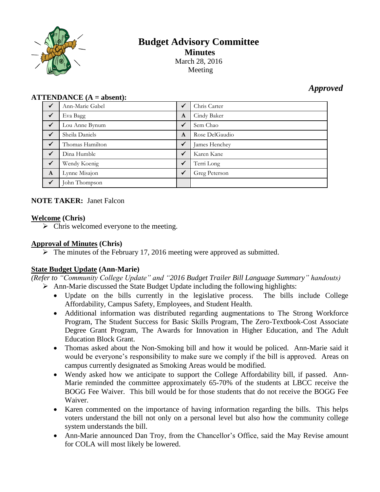

# **Budget Advisory Committee Minutes** March 28, 2016 Meeting

# *Approved*

#### **ATTENDANCE (A = absent):**

| $\checkmark$ | Ann-Marie Gabel | $\checkmark$ | Chris Carter   |
|--------------|-----------------|--------------|----------------|
| $\checkmark$ | Eva Bagg        | A            | Cindy Baker    |
| $\checkmark$ | Lou Anne Bynum  | $\checkmark$ | Sem Chao       |
| $\checkmark$ | Sheila Daniels  | A            | Rose DelGaudio |
| $\checkmark$ | Thomas Hamilton | $\checkmark$ | James Henchey  |
| $\checkmark$ | Dina Humble     | $\checkmark$ | Karen Kane     |
| $\checkmark$ | Wendy Koenig    | $\checkmark$ | Terri Long     |
| $\mathbf{A}$ | Lynne Misajon   | $\checkmark$ | Greg Peterson  |
| $\checkmark$ | John Thompson   |              |                |

# **NOTE TAKER:** Janet Falcon

#### **Welcome (Chris)**

 $\triangleright$  Chris welcomed everyone to the meeting.

# **Approval of Minutes (Chris)**

 $\triangleright$  The minutes of the February 17, 2016 meeting were approved as submitted.

# **State Budget Update (Ann-Marie)**

*(Refer to "Community College Update" and "2016 Budget Trailer Bill Language Summary" handouts)*  $\triangleright$  Ann-Marie discussed the State Budget Update including the following highlights:

- Update on the bills currently in the legislative process. The bills include College Affordability, Campus Safety, Employees, and Student Health.
- Additional information was distributed regarding augmentations to The Strong Workforce Program, The Student Success for Basic Skills Program, The Zero-Textbook-Cost Associate Degree Grant Program, The Awards for Innovation in Higher Education, and The Adult Education Block Grant.
- Thomas asked about the Non-Smoking bill and how it would be policed. Ann-Marie said it would be everyone's responsibility to make sure we comply if the bill is approved. Areas on campus currently designated as Smoking Areas would be modified.
- Wendy asked how we anticipate to support the College Affordability bill, if passed. Ann-Marie reminded the committee approximately 65-70% of the students at LBCC receive the BOGG Fee Waiver. This bill would be for those students that do not receive the BOGG Fee Waiver.
- Karen commented on the importance of having information regarding the bills. This helps voters understand the bill not only on a personal level but also how the community college system understands the bill.
- Ann-Marie announced Dan Troy, from the Chancellor's Office, said the May Revise amount for COLA will most likely be lowered.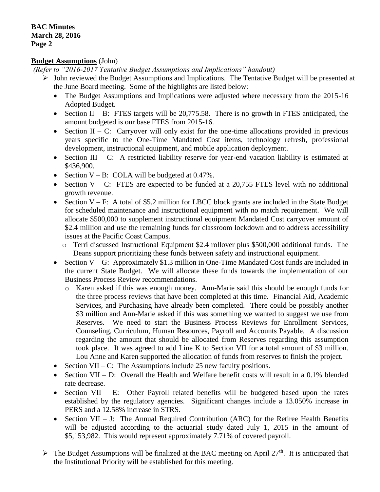#### **Budget Assumptions** (John)

*(Refer to "2016-2017 Tentative Budget Assumptions and Implications" handout)*

- $\triangleright$  John reviewed the Budget Assumptions and Implications. The Tentative Budget will be presented at the June Board meeting. Some of the highlights are listed below:
	- The Budget Assumptions and Implications were adjusted where necessary from the 2015-16 Adopted Budget.
	- Section II B: FTES targets will be  $20,775.58$ . There is no growth in FTES anticipated, the amount budgeted is our base FTES from 2015-16.
	- Section II C: Carryover will only exist for the one-time allocations provided in previous years specific to the One-Time Mandated Cost items, technology refresh, professional development, instructional equipment, and mobile application deployment.
	- Section III C: A restricted liability reserve for year-end vacation liability is estimated at \$436,900.
	- Section  $V B$ : COLA will be budgeted at 0.47%.
	- Section  $V C$ : FTES are expected to be funded at a 20,755 FTES level with no additional growth revenue.
	- Section  $V F$ : A total of \$5.2 million for LBCC block grants are included in the State Budget for scheduled maintenance and instructional equipment with no match requirement. We will allocate \$500,000 to supplement instructional equipment Mandated Cost carryover amount of \$2.4 million and use the remaining funds for classroom lockdown and to address accessibility issues at the Pacific Coast Campus.
		- o Terri discussed Instructional Equipment \$2.4 rollover plus \$500,000 additional funds. The Deans support prioritizing these funds between safety and instructional equipment.
	- Section V G: Approximately \$1.3 million in One-Time Mandated Cost funds are included in the current State Budget. We will allocate these funds towards the implementation of our Business Process Review recommendations.
		- o Karen asked if this was enough money. Ann-Marie said this should be enough funds for the three process reviews that have been completed at this time. Financial Aid, Academic Services, and Purchasing have already been completed. There could be possibly another \$3 million and Ann-Marie asked if this was something we wanted to suggest we use from Reserves. We need to start the Business Process Reviews for Enrollment Services, Counseling, Curriculum, Human Resources, Payroll and Accounts Payable. A discussion regarding the amount that should be allocated from Reserves regarding this assumption took place. It was agreed to add Line K to Section VII for a total amount of \$3 million. Lou Anne and Karen supported the allocation of funds from reserves to finish the project.
	- Section VII C: The Assumptions include 25 new faculty positions.
	- Section VII D: Overall the Health and Welfare benefit costs will result in a 0.1% blended rate decrease.
	- Section VII E: Other Payroll related benefits will be budgeted based upon the rates established by the regulatory agencies. Significant changes include a 13.050% increase in PERS and a 12.58% increase in STRS.
	- Section VII J: The Annual Required Contribution (ARC) for the Retiree Health Benefits will be adjusted according to the actuarial study dated July 1, 2015 in the amount of \$5,153,982. This would represent approximately 7.71% of covered payroll.
- $\triangleright$  The Budget Assumptions will be finalized at the BAC meeting on April 27<sup>th</sup>. It is anticipated that the Institutional Priority will be established for this meeting.